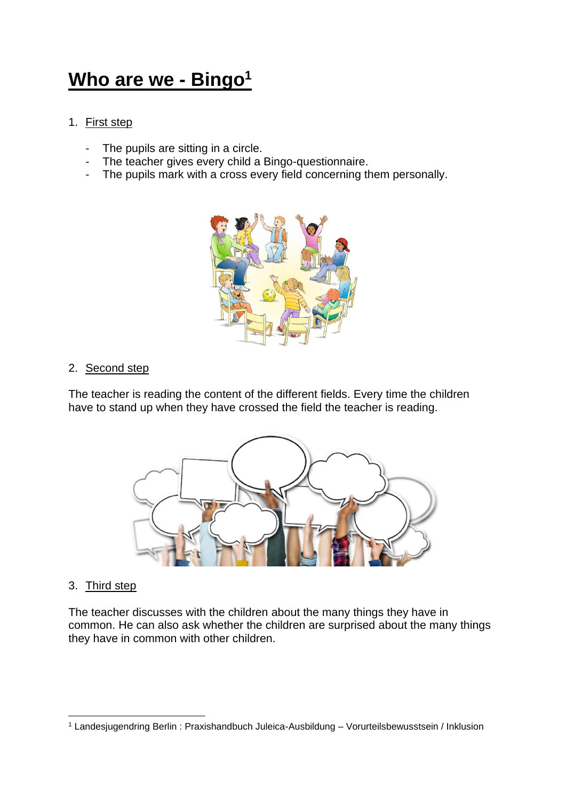## **Who are we - Bingo<sup>1</sup>**

## 1. First step

- The pupils are sitting in a circle.
- The teacher gives every child a Bingo-questionnaire.
- The pupils mark with a cross every field concerning them personally.



## 2. Second step

The teacher is reading the content of the different fields. Every time the children have to stand up when they have crossed the field the teacher is reading.



## 3. Third step

The teacher discusses with the children about the many things they have in common. He can also ask whether the children are surprised about the many things they have in common with other children.

<sup>1</sup> Landesjugendring Berlin : Praxishandbuch Juleica-Ausbildung – Vorurteilsbewusstsein / Inklusion